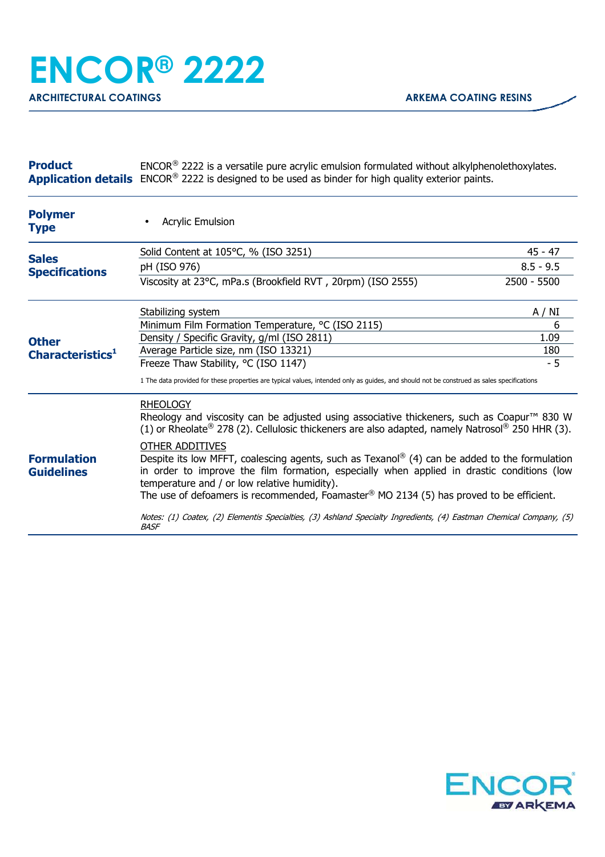| <b>Product</b> | $ENCOR®$ 2222 is a versatile pure acrylic emulsion formulated without alkylphenolethoxylates.                         |
|----------------|-----------------------------------------------------------------------------------------------------------------------|
|                | <b>Application details</b> ENCOR <sup>®</sup> 2222 is designed to be used as binder for high quality exterior paints. |

| <b>Polymer</b><br>Type                       | <b>Acrylic Emulsion</b>                                                                                                                                                                                                                                                                                                                                                                                                                                                                                 |             |
|----------------------------------------------|---------------------------------------------------------------------------------------------------------------------------------------------------------------------------------------------------------------------------------------------------------------------------------------------------------------------------------------------------------------------------------------------------------------------------------------------------------------------------------------------------------|-------------|
| <b>Sales</b><br><b>Specifications</b>        | Solid Content at 105°C, % (ISO 3251)                                                                                                                                                                                                                                                                                                                                                                                                                                                                    | $45 - 47$   |
|                                              | pH (ISO 976)                                                                                                                                                                                                                                                                                                                                                                                                                                                                                            | $8.5 - 9.5$ |
|                                              | Viscosity at 23°C, mPa.s (Brookfield RVT, 20rpm) (ISO 2555)                                                                                                                                                                                                                                                                                                                                                                                                                                             | 2500 - 5500 |
| <b>Other</b><br>Characteristics <sup>1</sup> | Stabilizing system                                                                                                                                                                                                                                                                                                                                                                                                                                                                                      | A / NI      |
|                                              | Minimum Film Formation Temperature, °C (ISO 2115)                                                                                                                                                                                                                                                                                                                                                                                                                                                       | 6           |
|                                              | Density / Specific Gravity, g/ml (ISO 2811)                                                                                                                                                                                                                                                                                                                                                                                                                                                             | 1.09        |
|                                              | Average Particle size, nm (ISO 13321)                                                                                                                                                                                                                                                                                                                                                                                                                                                                   | 180         |
|                                              | Freeze Thaw Stability, °C (ISO 1147)                                                                                                                                                                                                                                                                                                                                                                                                                                                                    | $-5$        |
|                                              | 1 The data provided for these properties are typical values, intended only as guides, and should not be construed as sales specifications                                                                                                                                                                                                                                                                                                                                                               |             |
| <b>Formulation</b><br><b>Guidelines</b>      | <b>RHEOLOGY</b><br>Rheology and viscosity can be adjusted using associative thickeners, such as Coapur <sup>™</sup> 830 W<br>(1) or Rheolate® 278 (2). Cellulosic thickeners are also adapted, namely Natrosol® 250 HHR (3).                                                                                                                                                                                                                                                                            |             |
|                                              | OTHER ADDITIVES<br>Despite its low MFFT, coalescing agents, such as Texanol <sup>®</sup> (4) can be added to the formulation<br>in order to improve the film formation, especially when applied in drastic conditions (low<br>temperature and / or low relative humidity).<br>The use of defoamers is recommended, Foamaster <sup>®</sup> MO 2134 (5) has proved to be efficient.<br>Notes: (1) Coatex, (2) Elementis Specialties, (3) Ashland Specialty Ingredients, (4) Eastman Chemical Company, (5) |             |
|                                              | <i>BASF</i>                                                                                                                                                                                                                                                                                                                                                                                                                                                                                             |             |